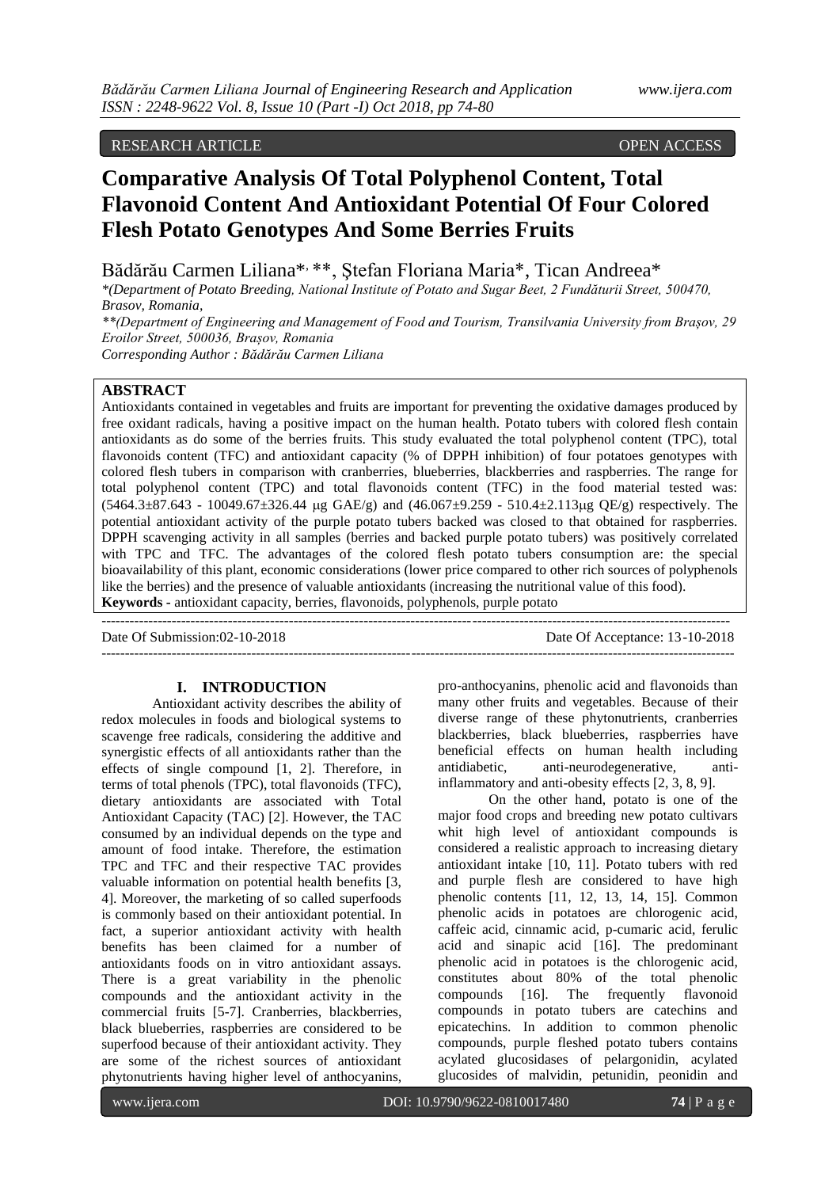# RESEARCH ARTICLE OPEN ACCESS

# **Comparative Analysis Of Total Polyphenol Content, Total Flavonoid Content And Antioxidant Potential Of Four Colored Flesh Potato Genotypes And Some Berries Fruits**

Bădărău Carmen Liliana\*, \*\*, Ştefan Floriana Maria\*, Tican Andreea\*

*\*(Department of Potato Breeding, National Institute of Potato and Sugar Beet, 2 Fundăturii Street, 500470, Brasov, Romania,* 

*\*\*(Department of Engineering and Management of Food and Tourism, Transilvania University from Brașov, 29 Eroilor Street, 500036, Brașov, Romania*

*Corresponding Author : Bădărău Carmen Liliana*

# **ABSTRACT**

Antioxidants contained in vegetables and fruits are important for preventing the oxidative damages produced by free oxidant radicals, having a positive impact on the human health. Potato tubers with colored flesh contain antioxidants as do some of the berries fruits. This study evaluated the total polyphenol content (TPC), total flavonoids content (TFC) and antioxidant capacity (% of DPPH inhibition) of four potatoes genotypes with colored flesh tubers in comparison with cranberries, blueberries, blackberries and raspberries. The range for total polyphenol content (TPC) and total flavonoids content (TFC) in the food material tested was:  $(5464.3\pm87.643 - 10049.67\pm326.44 \text{ µg } GAE/g)$  and  $(46.067\pm9.259 - 510.4\pm2.113 \text{ µg } QE/g)$  respectively. The potential antioxidant activity of the purple potato tubers backed was closed to that obtained for raspberries. DPPH scavenging activity in all samples (berries and backed purple potato tubers) was positively correlated with TPC and TFC. The advantages of the colored flesh potato tubers consumption are: the special bioavailability of this plant, economic considerations (lower price compared to other rich sources of polyphenols like the berries) and the presence of valuable antioxidants (increasing the nutritional value of this food). **Keywords -** antioxidant capacity, berries, flavonoids, polyphenols, purple potato

Date Of Submission:02-10-2018 Date Of Acceptance: 13-10-2018 ---------------------------------------------------------------------------------------------------------------------------------------

# **I. INTRODUCTION**

 $-1.1$ 

Antioxidant activity describes the ability of redox molecules in foods and biological systems to scavenge free radicals, considering the additive and synergistic effects of all antioxidants rather than the effects of single compound [1, 2]. Therefore, in terms of total phenols (TPC), total flavonoids (TFC), dietary antioxidants are associated with Total Antioxidant Capacity (TAC) [2]. However, the TAC consumed by an individual depends on the type and amount of food intake. Therefore, the estimation TPC and TFC and their respective TAC provides valuable information on potential health benefits [3, 4]. Moreover, the marketing of so called superfoods is commonly based on their antioxidant potential. In fact, a superior antioxidant activity with health benefits has been claimed for a number of antioxidants foods on in vitro antioxidant assays. There is a great variability in the phenolic compounds and the antioxidant activity in the commercial fruits [5-7]. Cranberries, blackberries, black blueberries, raspberries are considered to be superfood because of their antioxidant activity. They are some of the richest sources of antioxidant phytonutrients having higher level of anthocyanins,

pro-anthocyanins, phenolic acid and flavonoids than many other fruits and vegetables. Because of their diverse range of these phytonutrients, cranberries blackberries, black blueberries, raspberries have beneficial effects on human health including antidiabetic, anti-neurodegenerative, antiinflammatory and anti-obesity effects [2, 3, 8, 9].

On the other hand, potato is one of the major food crops and breeding new potato cultivars whit high level of antioxidant compounds is considered a realistic approach to increasing dietary antioxidant intake [10, 11]. Potato tubers with red and purple flesh are considered to have high phenolic contents [11, 12, 13, 14, 15]. Common phenolic acids in potatoes are chlorogenic acid, caffeic acid, cinnamic acid, p-cumaric acid, ferulic acid and sinapic acid [16]. The predominant phenolic acid in potatoes is the chlorogenic acid, constitutes about 80% of the total phenolic compounds [16]. The frequently flavonoid compounds in potato tubers are catechins and epicatechins. In addition to common phenolic compounds, purple fleshed potato tubers contains acylated glucosidases of pelargonidin, acylated glucosides of malvidin, petunidin, peonidin and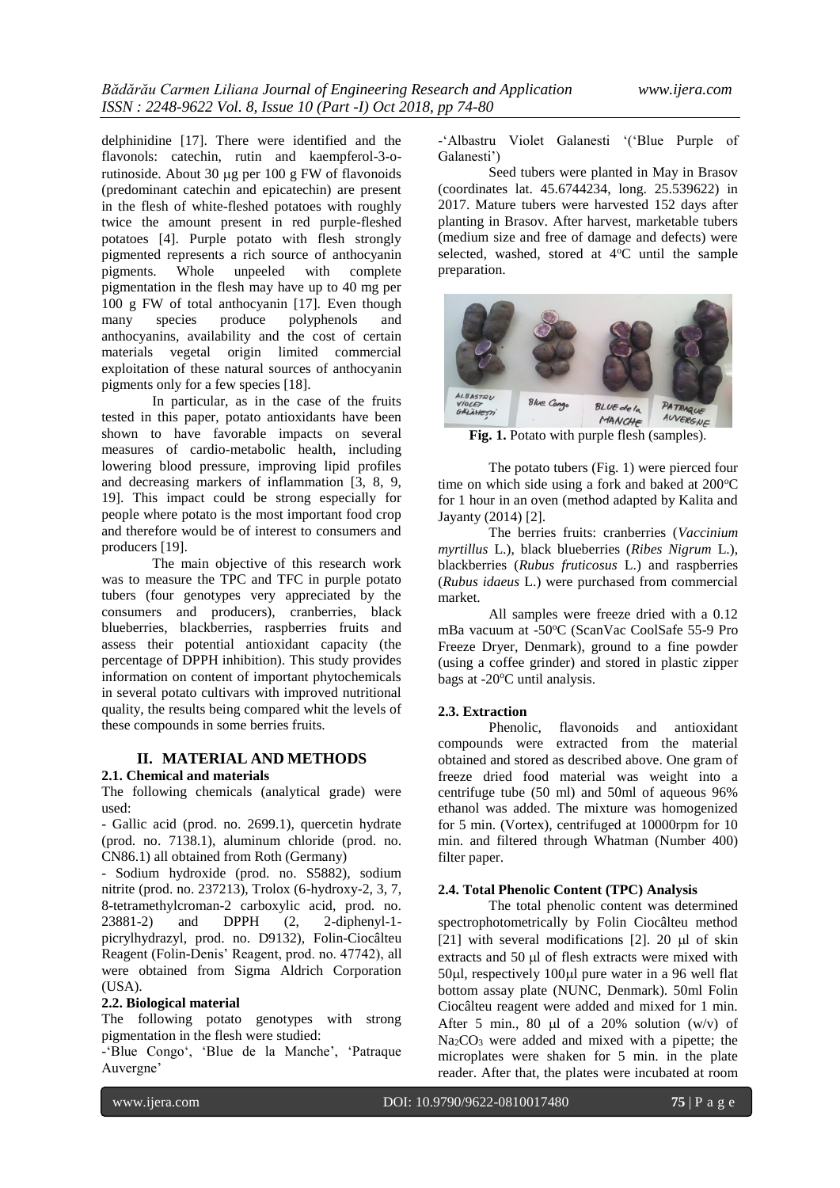delphinidine [17]. There were identified and the flavonols: catechin, rutin and kaempferol-3-orutinoside. About 30  $\mu$ g per 100 g FW of flavonoids (predominant catechin and epicatechin) are present in the flesh of white-fleshed potatoes with roughly twice the amount present in red purple-fleshed potatoes [4]. Purple potato with flesh strongly pigmented represents a rich source of anthocyanin<br>pigments. Whole unpeeled with complete Whole unpeeled with complete pigmentation in the flesh may have up to 40 mg per 100 g FW of total anthocyanin [17]. Even though many species produce polyphenols and anthocyanins, availability and the cost of certain materials vegetal origin limited commercial exploitation of these natural sources of anthocyanin pigments only for a few species [18].

In particular, as in the case of the fruits tested in this paper, potato antioxidants have been shown to have favorable impacts on several measures of cardio-metabolic health, including lowering blood pressure, improving lipid profiles and decreasing markers of inflammation [3, 8, 9, 19]. This impact could be strong especially for people where potato is the most important food crop and therefore would be of interest to consumers and producers [19].

The main objective of this research work was to measure the TPC and TFC in purple potato tubers (four genotypes very appreciated by the consumers and producers), cranberries, black blueberries, blackberries, raspberries fruits and assess their potential antioxidant capacity (the percentage of DPPH inhibition). This study provides information on content of important phytochemicals in several potato cultivars with improved nutritional quality, the results being compared whit the levels of these compounds in some berries fruits.

## **II. MATERIAL AND METHODS**

#### **2.1. Chemical and materials**

The following chemicals (analytical grade) were used:

- Gallic acid (prod. no. 2699.1), quercetin hydrate (prod. no. 7138.1), aluminum chloride (prod. no. CN86.1) all obtained from Roth (Germany)

- Sodium hydroxide (prod. no. S5882), sodium nitrite (prod. no. 237213), Trolox (6-hydroxy-2, 3, 7, 8-tetramethylcroman-2 carboxylic acid, prod. no. 23881-2) and DPPH (2, 2-diphenyl-1 picrylhydrazyl, prod. no. D9132), Folin-Ciocâlteu Reagent (Folin-Denis' Reagent, prod. no. 47742), all were obtained from Sigma Aldrich Corporation (USA).

## **2.2. Biological material**

The following potato genotypes with strong pigmentation in the flesh were studied:

-'Blue Congo', 'Blue de la Manche', 'Patraque Auvergne'

-'Albastru Violet Galanesti '('Blue Purple of Galanesti')

Seed tubers were planted in May in Brasov (coordinates lat. 45.6744234, long. 25.539622) in 2017. Mature tubers were harvested 152 days after planting in Brasov. After harvest, marketable tubers (medium size and free of damage and defects) were selected, washed, stored at  $4^{\circ}$ C until the sample preparation.



**Fig. 1.** Potato with purple flesh (samples).

The potato tubers (Fig. 1) were pierced four time on which side using a fork and baked at  $200^{\circ}$ C for 1 hour in an oven (method adapted by Kalita and Jayanty (2014) [2].

The berries fruits: cranberries (*Vaccinium myrtillus* L.), black blueberries (*Ribes Nigrum* L.), blackberries (*Rubus fruticosus* L.) and raspberries (*Rubus idaeus* L.) were purchased from commercial market.

All samples were freeze dried with a 0.12 mBa vacuum at -50°C (ScanVac CoolSafe 55-9 Pro Freeze Dryer, Denmark), ground to a fine powder (using a coffee grinder) and stored in plastic zipper bags at -20°C until analysis.

#### **2.3. Extraction**

Phenolic, flavonoids and antioxidant compounds were extracted from the material obtained and stored as described above. One gram of freeze dried food material was weight into a centrifuge tube (50 ml) and 50ml of aqueous 96% ethanol was added. The mixture was homogenized for 5 min. (Vortex), centrifuged at 10000rpm for 10 min. and filtered through Whatman (Number 400) filter paper.

## **2.4. Total Phenolic Content (TPC) Analysis**

The total phenolic content was determined spectrophotometrically by Folin Ciocâlteu method [21] with several modifications [2]. 20  $\mu$ l of skin extracts and  $50 \mu l$  of flesh extracts were mixed with 50ul, respectively 100ul pure water in a 96 well flat bottom assay plate (NUNC, Denmark). 50ml Folin Ciocâlteu reagent were added and mixed for 1 min. After 5 min., 80  $\mu$ l of a 20% solution (w/v) of Na2CO<sup>3</sup> were added and mixed with a pipette; the microplates were shaken for 5 min. in the plate reader. After that, the plates were incubated at room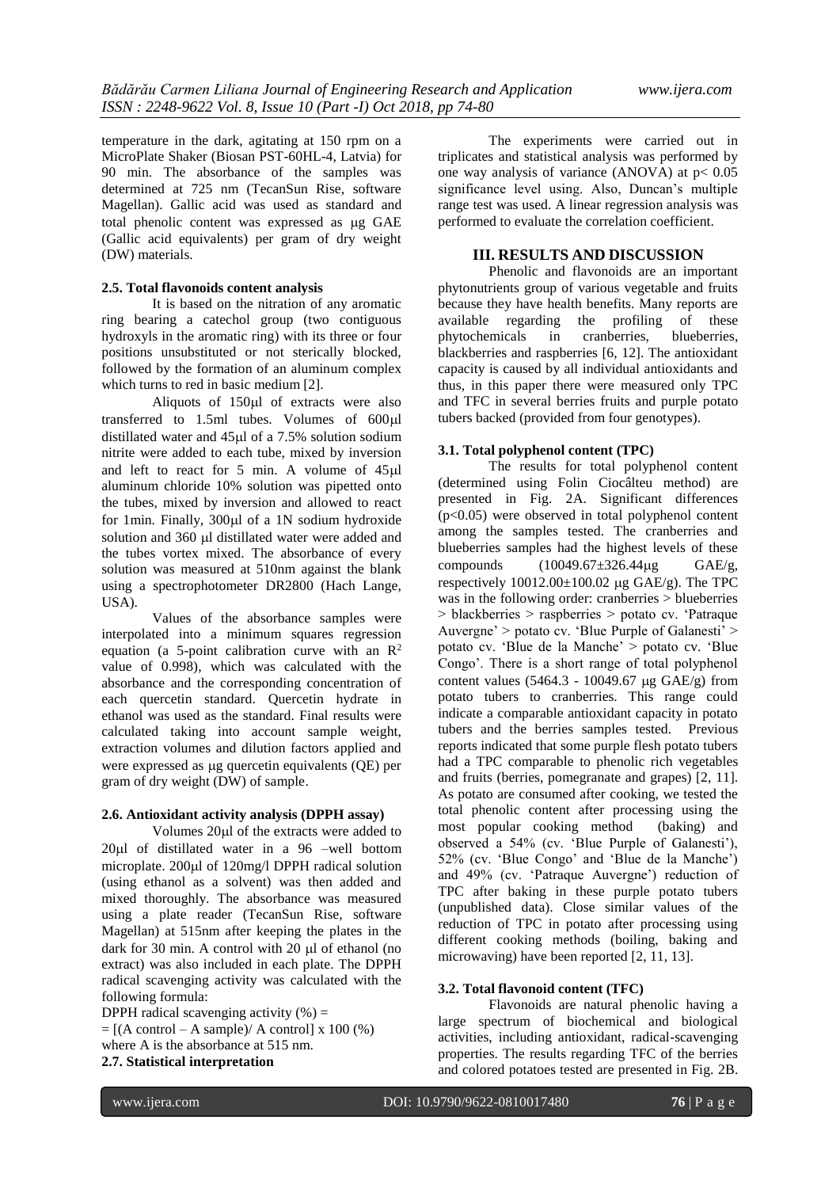temperature in the dark, agitating at 150 rpm on a MicroPlate Shaker (Biosan PST-60HL-4, Latvia) for 90 min. The absorbance of the samples was determined at 725 nm (TecanSun Rise, software Magellan). Gallic acid was used as standard and total phenolic content was expressed as µg GAE (Gallic acid equivalents) per gram of dry weight (DW) materials.

## **2.5. Total flavonoids content analysis**

It is based on the nitration of any aromatic ring bearing a catechol group (two contiguous hydroxyls in the aromatic ring) with its three or four positions unsubstituted or not sterically blocked, followed by the formation of an aluminum complex which turns to red in basic medium [2].

Aliquots of  $150\mu l$  of extracts were also transferred to 1.5ml tubes. Volumes of  $600 \mu l$ distillated water and  $45\mu$ l of a 7.5% solution sodium nitrite were added to each tube, mixed by inversion and left to react for 5 min. A volume of  $45 \mu$ l aluminum chloride 10% solution was pipetted onto the tubes, mixed by inversion and allowed to react for 1 $min$ . Finally, 300 $\mu$ l of a 1N sodium hydroxide solution and 360 µl distillated water were added and the tubes vortex mixed. The absorbance of every solution was measured at 510nm against the blank using a spectrophotometer DR2800 (Hach Lange, USA).

Values of the absorbance samples were interpolated into a minimum squares regression equation (a 5-point calibration curve with an  $\mathbb{R}^2$ value of 0.998), which was calculated with the absorbance and the corresponding concentration of each quercetin standard. Quercetin hydrate in ethanol was used as the standard. Final results were calculated taking into account sample weight, extraction volumes and dilution factors applied and were expressed as µg quercetin equivalents (QE) per gram of dry weight (DW) of sample.

#### **2.6. Antioxidant activity analysis (DPPH assay)**

Volumes 20 ul of the extracts were added to  $20\mu$ l of distillated water in a 96 –well bottom microplate. 200µl of 120mg/l DPPH radical solution (using ethanol as a solvent) was then added and mixed thoroughly. The absorbance was measured using a plate reader (TecanSun Rise, software Magellan) at 515nm after keeping the plates in the dark for 30 min. A control with 20 µl of ethanol (no extract) was also included in each plate. The DPPH radical scavenging activity was calculated with the following formula:

DPPH radical scavenging activity  $(\% )$  =  $=$  [(A control – A sample)/ A control] x 100 (%) where A is the absorbance at 515 nm. **2.7. Statistical interpretation** 

The experiments were carried out in triplicates and statistical analysis was performed by one way analysis of variance (ANOVA) at  $p < 0.05$ significance level using. Also, Duncan's multiple range test was used. A linear regression analysis was performed to evaluate the correlation coefficient.

## **III. RESULTS AND DISCUSSION**

Phenolic and flavonoids are an important phytonutrients group of various vegetable and fruits because they have health benefits. Many reports are available regarding the profiling of these phytochemicals in cranberries, blueberries, blackberries and raspberries [6, 12]. The antioxidant capacity is caused by all individual antioxidants and thus, in this paper there were measured only TPC and TFC in several berries fruits and purple potato tubers backed (provided from four genotypes).

## **3.1. Total polyphenol content (TPC)**

The results for total polyphenol content (determined using Folin Ciocâlteu method) are presented in Fig. 2A. Significant differences (p<0.05) were observed in total polyphenol content among the samples tested. The cranberries and blueberries samples had the highest levels of these compounds  $(10049.67 \pm 326.44 \,\mu\text{g} \quad \text{GAE/g},$ respectively  $10012.00\pm100.02$  ug GAE/g). The TPC was in the following order: cranberries > blueberries > blackberries > raspberries > potato cv. 'Patraque Auvergne' > potato cv. 'Blue Purple of Galanesti' > potato cv. 'Blue de la Manche' > potato cv. 'Blue Congo'. There is a short range of total polyphenol content values (5464.3 - 10049.67  $\mu$ g GAE/g) from potato tubers to cranberries. This range could indicate a comparable antioxidant capacity in potato tubers and the berries samples tested. Previous reports indicated that some purple flesh potato tubers had a TPC comparable to phenolic rich vegetables and fruits (berries, pomegranate and grapes) [2, 11]. As potato are consumed after cooking, we tested the total phenolic content after processing using the most popular cooking method (baking) and observed a 54% (cv. 'Blue Purple of Galanesti'), 52% (cv. 'Blue Congo' and 'Blue de la Manche') and 49% (cv. 'Patraque Auvergne') reduction of TPC after baking in these purple potato tubers (unpublished data). Close similar values of the reduction of TPC in potato after processing using different cooking methods (boiling, baking and microwaving) have been reported [2, 11, 13].

# **3.2. Total flavonoid content (TFC)**

Flavonoids are natural phenolic having a large spectrum of biochemical and biological activities, including antioxidant, radical-scavenging properties. The results regarding TFC of the berries and colored potatoes tested are presented in Fig. 2B.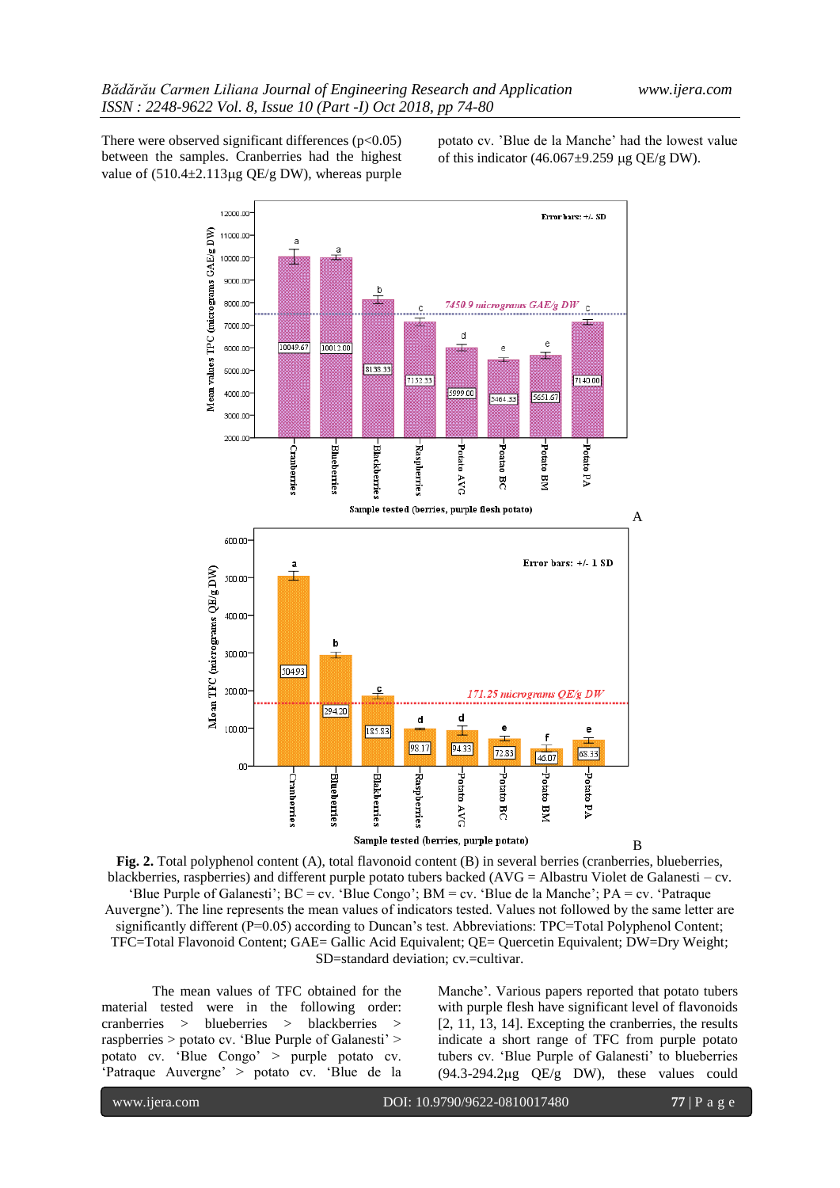There were observed significant differences  $(p<0.05)$ between the samples. Cranberries had the highest value of  $(510.4 \pm 2.113 \mu g$  QE/g DW), whereas purple potato cv. 'Blue de la Manche' had the lowest value of this indicator (46.067 $\pm$ 9.259 µg QE/g DW).



**Fig. 2.** Total polyphenol content (A), total flavonoid content (B) in several berries (cranberries, blueberries, blackberries, raspberries) and different purple potato tubers backed (AVG = Albastru Violet de Galanesti – cv. 'Blue Purple of Galanesti'; BC = cv. 'Blue Congo'; BM = cv. 'Blue de la Manche'; PA = cv. 'Patraque Auvergne'). The line represents the mean values of indicators tested. Values not followed by the same letter are significantly different (P=0.05) according to Duncan's test. Abbreviations: TPC=Total Polyphenol Content; TFC=Total Flavonoid Content; GAE= Gallic Acid Equivalent; QE= Quercetin Equivalent; DW=Dry Weight; SD=standard deviation; cv.=cultivar.

The mean values of TFC obtained for the material tested were in the following order: cranberries > blueberries > blackberries > raspberries > potato cv. 'Blue Purple of Galanesti' > potato cv. 'Blue Congo' > purple potato cv. 'Patraque Auvergne' > potato cv. 'Blue de la Manche'. Various papers reported that potato tubers with purple flesh have significant level of flavonoids [2, 11, 13, 14]. Excepting the cranberries, the results indicate a short range of TFC from purple potato tubers cv. 'Blue Purple of Galanesti' to blueberries  $(94.3-294.2\mu g$  QE/g DW), these values could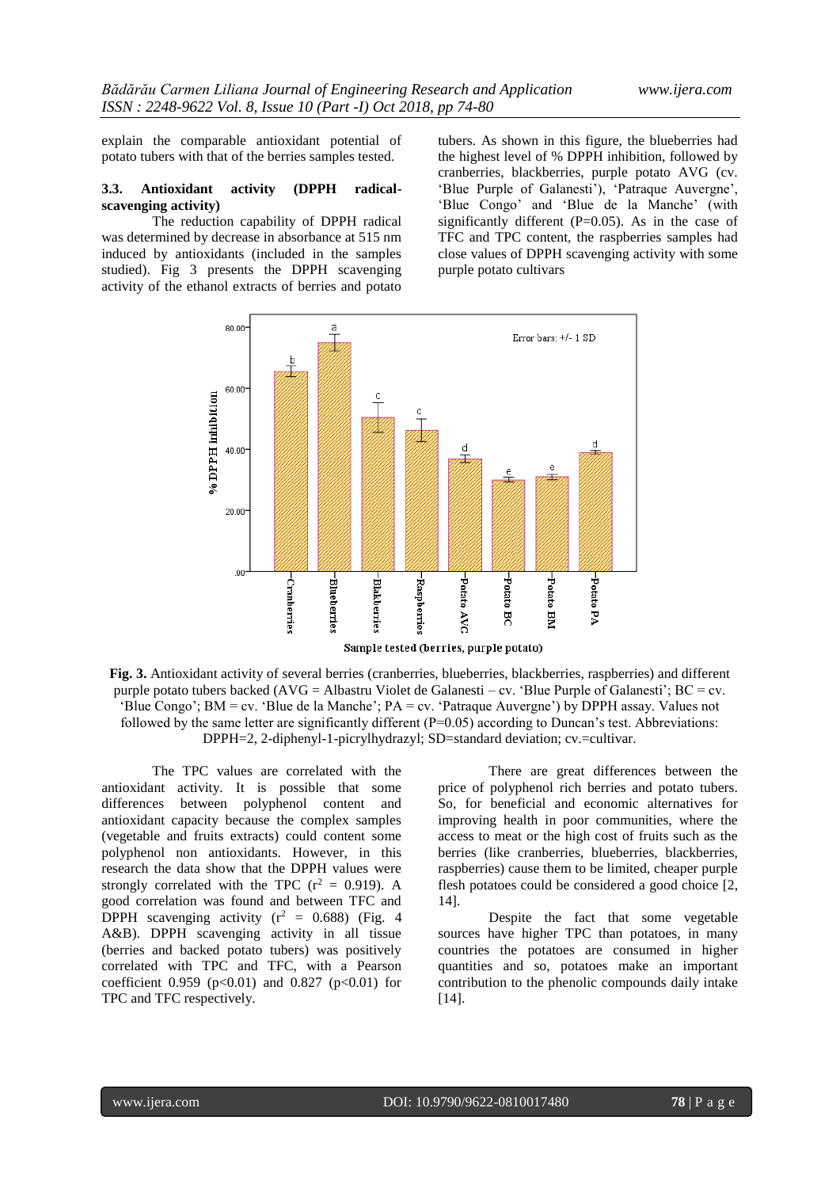explain the comparable antioxidant potential of potato tubers with that of the berries samples tested.

#### **3.3. Antioxidant activity (DPPH radicalscavenging activity)**

The reduction capability of DPPH radical was determined by decrease in absorbance at 515 nm induced by antioxidants (included in the samples studied). Fig 3 presents the DPPH scavenging activity of the ethanol extracts of berries and potato

tubers. As shown in this figure, the blueberries had the highest level of % DPPH inhibition, followed by cranberries, blackberries, purple potato AVG (cv. 'Blue Purple of Galanesti'), 'Patraque Auvergne', 'Blue Congo' and 'Blue de la Manche' (with significantly different  $(P=0.05)$ . As in the case of TFC and TPC content, the raspberries samples had close values of DPPH scavenging activity with some purple potato cultivars



**Fig. 3.** Antioxidant activity of several berries (cranberries, blueberries, blackberries, raspberries) and different purple potato tubers backed (AVG = Albastru Violet de Galanesti – cv. 'Blue Purple of Galanesti'; BC = cv. 'Blue Congo'; BM = cv. 'Blue de la Manche'; PA = cv. 'Patraque Auvergne') by DPPH assay. Values not followed by the same letter are significantly different  $(P=0.05)$  according to Duncan's test. Abbreviations: DPPH=2, 2-diphenyl-1-picrylhydrazyl; SD=standard deviation; cv.=cultivar.

The TPC values are correlated with the antioxidant activity. It is possible that some differences between polyphenol content and antioxidant capacity because the complex samples (vegetable and fruits extracts) could content some polyphenol non antioxidants. However, in this research the data show that the DPPH values were strongly correlated with the TPC  $(r^2 = 0.919)$ . A good correlation was found and between TFC and DPPH scavenging activity ( $r^2 = 0.688$ ) (Fig. 4 A&B). DPPH scavenging activity in all tissue (berries and backed potato tubers) was positively correlated with TPC and TFC, with a Pearson coefficient 0.959 ( $p<0.01$ ) and 0.827 ( $p<0.01$ ) for TPC and TFC respectively.

There are great differences between the price of polyphenol rich berries and potato tubers. So, for beneficial and economic alternatives for improving health in poor communities, where the access to meat or the high cost of fruits such as the berries (like cranberries, blueberries, blackberries, raspberries) cause them to be limited, cheaper purple flesh potatoes could be considered a good choice [2, 14].

Despite the fact that some vegetable sources have higher TPC than potatoes, in many countries the potatoes are consumed in higher quantities and so, potatoes make an important contribution to the phenolic compounds daily intake [14].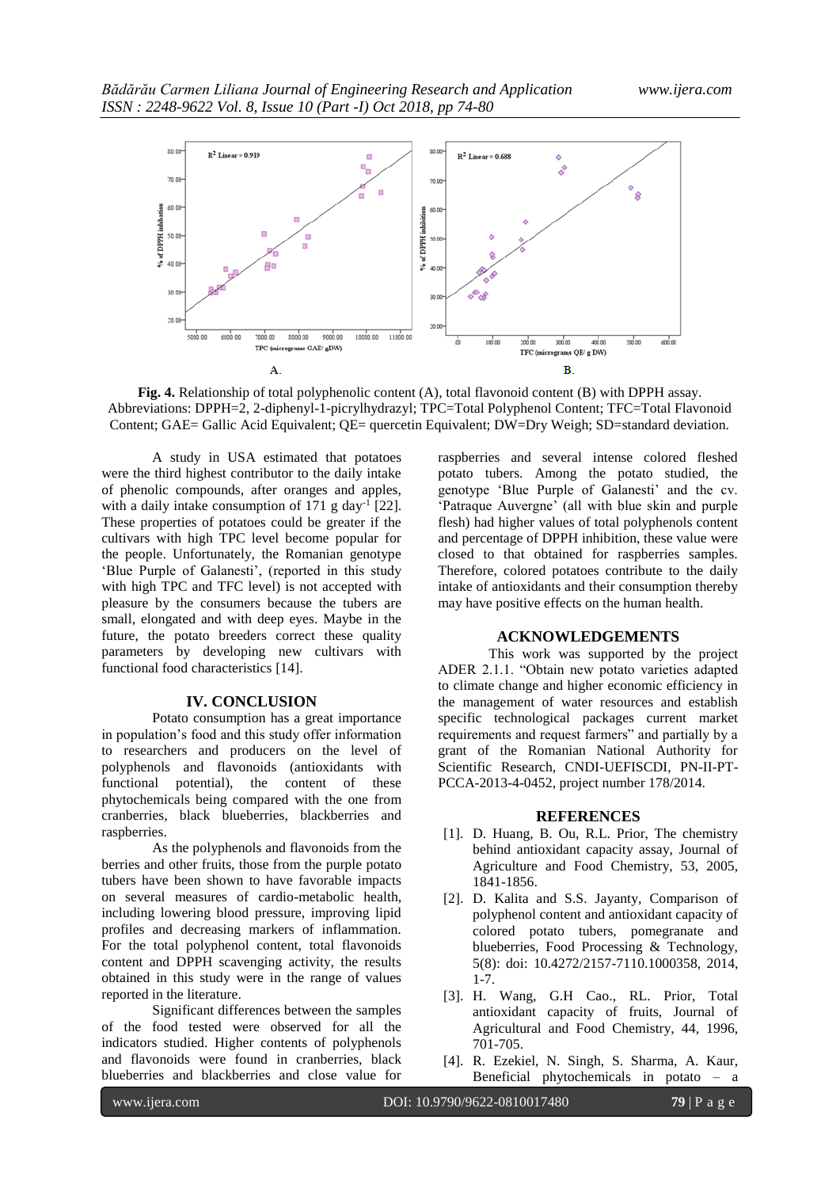

**Fig. 4.** Relationship of total polyphenolic content (A), total flavonoid content (B) with DPPH assay. Abbreviations: DPPH=2, 2-diphenyl-1-picrylhydrazyl; TPC=Total Polyphenol Content; TFC=Total Flavonoid Content; GAE= Gallic Acid Equivalent; QE= quercetin Equivalent; DW=Dry Weigh; SD=standard deviation.

A study in USA estimated that potatoes were the third highest contributor to the daily intake of phenolic compounds, after oranges and apples, with a daily intake consumption of  $171$  g day<sup>-1</sup> [22]. These properties of potatoes could be greater if the cultivars with high TPC level become popular for the people. Unfortunately, the Romanian genotype 'Blue Purple of Galanesti', (reported in this study with high TPC and TFC level) is not accepted with pleasure by the consumers because the tubers are small, elongated and with deep eyes. Maybe in the future, the potato breeders correct these quality parameters by developing new cultivars with functional food characteristics [14].

# **IV. CONCLUSION**

Potato consumption has a great importance in population's food and this study offer information to researchers and producers on the level of polyphenols and flavonoids (antioxidants with functional potential), the content of these phytochemicals being compared with the one from cranberries, black blueberries, blackberries and raspberries.

As the polyphenols and flavonoids from the berries and other fruits, those from the purple potato tubers have been shown to have favorable impacts on several measures of cardio-metabolic health, including lowering blood pressure, improving lipid profiles and decreasing markers of inflammation. For the total polyphenol content, total flavonoids content and DPPH scavenging activity, the results obtained in this study were in the range of values reported in the literature.

Significant differences between the samples of the food tested were observed for all the indicators studied. Higher contents of polyphenols and flavonoids were found in cranberries, black blueberries and blackberries and close value for

raspberries and several intense colored fleshed potato tubers. Among the potato studied, the genotype 'Blue Purple of Galanesti' and the cv. 'Patraque Auvergne' (all with blue skin and purple flesh) had higher values of total polyphenols content and percentage of DPPH inhibition, these value were closed to that obtained for raspberries samples. Therefore, colored potatoes contribute to the daily intake of antioxidants and their consumption thereby may have positive effects on the human health.

#### **ACKNOWLEDGEMENTS**

This work was supported by the project ADER 2.1.1. "Obtain new potato varieties adapted to climate change and higher economic efficiency in the management of water resources and establish specific technological packages current market requirements and request farmers" and partially by a grant of the Romanian National Authority for Scientific Research, CNDI-UEFISCDI, PN-II-PT-PCCA-2013-4-0452, project number 178/2014.

#### **REFERENCES**

- [1]. D. Huang, B. Ou, R.L. Prior, The chemistry behind antioxidant capacity assay, Journal of Agriculture and Food Chemistry, 53, 2005, 1841-1856.
- [2]. D. Kalita and S.S. Jayanty, Comparison of polyphenol content and antioxidant capacity of colored potato tubers, pomegranate and blueberries, Food Processing & Technology, 5(8): doi: 10.4272/2157-7110.1000358, 2014, 1-7.
- [3]. H. Wang, G.H Cao., RL. Prior, Total antioxidant capacity of fruits, Journal of Agricultural and Food Chemistry, 44, 1996, 701-705.
- [4]. R. Ezekiel, N. Singh, S. Sharma, A. Kaur, Beneficial phytochemicals in potato – a